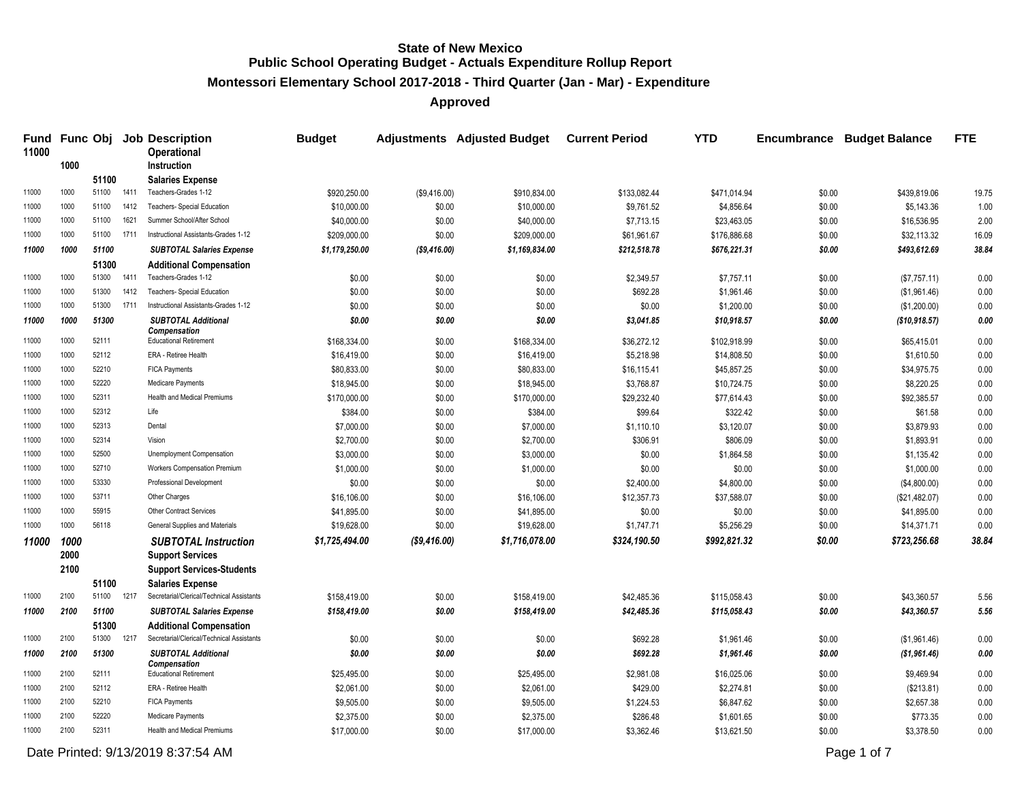**Montessori Elementary School 2017-2018 - Third Quarter (Jan - Mar) - Expenditure**

**Approved**

| Fund<br>11000 |      |                |      | <b>Func Obj Job Description</b><br><b>Operational</b> | <b>Budget</b>  |               | <b>Adjustments</b> Adjusted Budget | <b>Current Period</b> | <b>YTD</b>   | <b>Encumbrance</b> | <b>Budget Balance</b> | <b>FTE</b> |
|---------------|------|----------------|------|-------------------------------------------------------|----------------|---------------|------------------------------------|-----------------------|--------------|--------------------|-----------------------|------------|
|               | 1000 |                |      | <b>Instruction</b>                                    |                |               |                                    |                       |              |                    |                       |            |
| 11000         | 1000 | 51100<br>51100 | 1411 | <b>Salaries Expense</b><br>Teachers-Grades 1-12       | \$920,250.00   | (\$9,416.00)  | \$910,834.00                       | \$133,082.44          | \$471,014.94 | \$0.00             | \$439,819.06          | 19.75      |
| 11000         | 1000 | 51100          | 1412 | <b>Teachers- Special Education</b>                    | \$10,000.00    | \$0.00        | \$10,000.00                        | \$9,761.52            | \$4,856.64   | \$0.00             | \$5,143.36            | 1.00       |
| 11000         | 1000 | 51100          | 1621 | Summer School/After School                            | \$40,000.00    | \$0.00        | \$40,000.00                        | \$7,713.15            | \$23,463.05  | \$0.00             | \$16,536.95           | 2.00       |
| 11000         | 1000 | 51100          | 1711 | Instructional Assistants-Grades 1-12                  | \$209,000.00   | \$0.00        | \$209,000.00                       | \$61,961.67           | \$176,886.68 | \$0.00             | \$32,113.32           | 16.09      |
| 11000         | 1000 | 51100          |      | <b>SUBTOTAL Salaries Expense</b>                      | \$1,179,250.00 | ( \$9,416.00) | \$1,169,834.00                     | \$212,518.78          | \$676,221.31 | \$0.00             | \$493,612.69          | 38.84      |
|               |      | 51300          |      | <b>Additional Compensation</b>                        |                |               |                                    |                       |              |                    |                       |            |
| 11000         | 1000 | 51300          | 1411 | Teachers-Grades 1-12                                  | \$0.00         | \$0.00        | \$0.00                             | \$2,349.57            | \$7,757.11   | \$0.00             | (\$7,757.11)          | 0.00       |
| 11000         | 1000 | 51300          | 1412 | Teachers- Special Education                           | \$0.00         | \$0.00        | \$0.00                             | \$692.28              | \$1,961.46   | \$0.00             | (\$1,961.46)          | 0.00       |
| 11000         | 1000 | 51300          | 1711 | Instructional Assistants-Grades 1-12                  | \$0.00         | \$0.00        | \$0.00                             | \$0.00                | \$1,200.00   | \$0.00             | (\$1,200.00)          | 0.00       |
| 11000         | 1000 | 51300          |      | <b>SUBTOTAL Additional</b>                            | \$0.00         | \$0.00        | \$0.00                             | \$3,041.85            | \$10,918.57  | \$0.00             | (\$10,918.57)         | 0.00       |
|               |      |                |      | <b>Compensation</b>                                   |                |               |                                    |                       |              |                    |                       |            |
| 11000         | 1000 | 52111          |      | <b>Educational Retirement</b>                         | \$168,334.00   | \$0.00        | \$168,334.00                       | \$36,272.12           | \$102,918.99 | \$0.00             | \$65,415.01           | 0.00       |
| 11000         | 1000 | 52112          |      | ERA - Retiree Health                                  | \$16,419.00    | \$0.00        | \$16,419.00                        | \$5,218.98            | \$14,808.50  | \$0.00             | \$1,610.50            | 0.00       |
| 11000         | 1000 | 52210          |      | <b>FICA Payments</b>                                  | \$80,833.00    | \$0.00        | \$80,833.00                        | \$16,115.41           | \$45,857.25  | \$0.00             | \$34,975.75           | 0.00       |
| 11000         | 1000 | 52220          |      | <b>Medicare Payments</b>                              | \$18,945.00    | \$0.00        | \$18,945.00                        | \$3,768.87            | \$10,724.75  | \$0.00             | \$8,220.25            | 0.00       |
| 11000         | 1000 | 52311          |      | Health and Medical Premiums                           | \$170,000.00   | \$0.00        | \$170,000.00                       | \$29,232.40           | \$77,614.43  | \$0.00             | \$92,385.57           | 0.00       |
| 11000         | 1000 | 52312          |      | Life                                                  | \$384.00       | \$0.00        | \$384.00                           | \$99.64               | \$322.42     | \$0.00             | \$61.58               | 0.00       |
| 11000         | 1000 | 52313          |      | Dental                                                | \$7,000.00     | \$0.00        | \$7,000.00                         | \$1,110.10            | \$3,120.07   | \$0.00             | \$3,879.93            | 0.00       |
| 11000         | 1000 | 52314          |      | Vision                                                | \$2,700.00     | \$0.00        | \$2,700.00                         | \$306.91              | \$806.09     | \$0.00             | \$1,893.91            | 0.00       |
| 11000         | 1000 | 52500          |      | Unemployment Compensation                             | \$3,000.00     | \$0.00        | \$3,000.00                         | \$0.00                | \$1,864.58   | \$0.00             | \$1,135.42            | 0.00       |
| 11000         | 1000 | 52710          |      | Workers Compensation Premium                          | \$1,000.00     | \$0.00        | \$1,000.00                         | \$0.00                | \$0.00       | \$0.00             | \$1,000.00            | 0.00       |
| 11000         | 1000 | 53330          |      | Professional Development                              | \$0.00         | \$0.00        | \$0.00                             | \$2,400.00            | \$4,800.00   | \$0.00             | (\$4,800.00)          | 0.00       |
| 11000         | 1000 | 53711          |      | Other Charges                                         | \$16,106.00    | \$0.00        | \$16,106.00                        | \$12,357.73           | \$37,588.07  | \$0.00             | (\$21,482.07)         | 0.00       |
| 11000         | 1000 | 55915          |      | Other Contract Services                               | \$41,895.00    | \$0.00        | \$41,895.00                        | \$0.00                | \$0.00       | \$0.00             | \$41,895.00           | 0.00       |
| 11000         | 1000 | 56118          |      | General Supplies and Materials                        | \$19,628.00    | \$0.00        | \$19,628.00                        | \$1,747.71            | \$5,256.29   | \$0.00             | \$14,371.71           | 0.00       |
| 11000         | 1000 |                |      | <b>SUBTOTAL Instruction</b>                           | \$1,725,494.00 | ( \$9,416.00) | \$1,716,078.00                     | \$324,190.50          | \$992,821.32 | \$0.00             | \$723,256.68          | 38.84      |
|               | 2000 |                |      | <b>Support Services</b>                               |                |               |                                    |                       |              |                    |                       |            |
|               | 2100 |                |      | <b>Support Services-Students</b>                      |                |               |                                    |                       |              |                    |                       |            |
|               |      | 51100          |      | <b>Salaries Expense</b>                               |                |               |                                    |                       |              |                    |                       |            |
| 11000         | 2100 | 51100 1217     |      | Secretarial/Clerical/Technical Assistants             | \$158,419.00   | \$0.00        | \$158,419.00                       | \$42,485.36           | \$115,058.43 | \$0.00             | \$43,360.57           | 5.56       |
| 11000         | 2100 | 51100          |      | <b>SUBTOTAL Salaries Expense</b>                      | \$158,419.00   | \$0.00        | \$158,419.00                       | \$42,485.36           | \$115,058.43 | \$0.00             | \$43,360.57           | 5.56       |
|               |      | 51300          |      | <b>Additional Compensation</b>                        |                |               |                                    |                       |              |                    |                       |            |
| 11000         | 2100 | 51300          | 1217 | Secretarial/Clerical/Technical Assistants             | \$0.00         | \$0.00        | \$0.00                             | \$692.28              | \$1,961.46   | \$0.00             | (\$1,961.46)          | 0.00       |
| 11000         | 2100 | 51300          |      | <b>SUBTOTAL Additional</b><br>Compensation            | \$0.00         | \$0.00        | \$0.00                             | \$692.28              | \$1,961.46   | \$0.00             | ( \$1,961.46)         | 0.00       |
| 11000         | 2100 | 52111          |      | <b>Educational Retirement</b>                         | \$25,495.00    | \$0.00        | \$25,495.00                        | \$2,981.08            | \$16,025.06  | \$0.00             | \$9,469.94            | 0.00       |
| 11000         | 2100 | 52112          |      | ERA - Retiree Health                                  | \$2,061.00     | \$0.00        | \$2,061.00                         | \$429.00              | \$2,274.81   | \$0.00             | (\$213.81)            | 0.00       |
| 11000         | 2100 | 52210          |      | <b>FICA Payments</b>                                  | \$9,505.00     | \$0.00        | \$9,505.00                         | \$1,224.53            | \$6,847.62   | \$0.00             | \$2,657.38            | 0.00       |
| 11000         | 2100 | 52220          |      | Medicare Payments                                     | \$2,375.00     | \$0.00        | \$2,375.00                         | \$286.48              | \$1,601.65   | \$0.00             | \$773.35              | 0.00       |
| 11000         | 2100 | 52311          |      | <b>Health and Medical Premiums</b>                    | \$17,000.00    | \$0.00        | \$17,000.00                        | \$3,362.46            | \$13,621.50  | \$0.00             | \$3,378.50            | 0.00       |

Date Printed:  $9/13/20198.37:54 AM$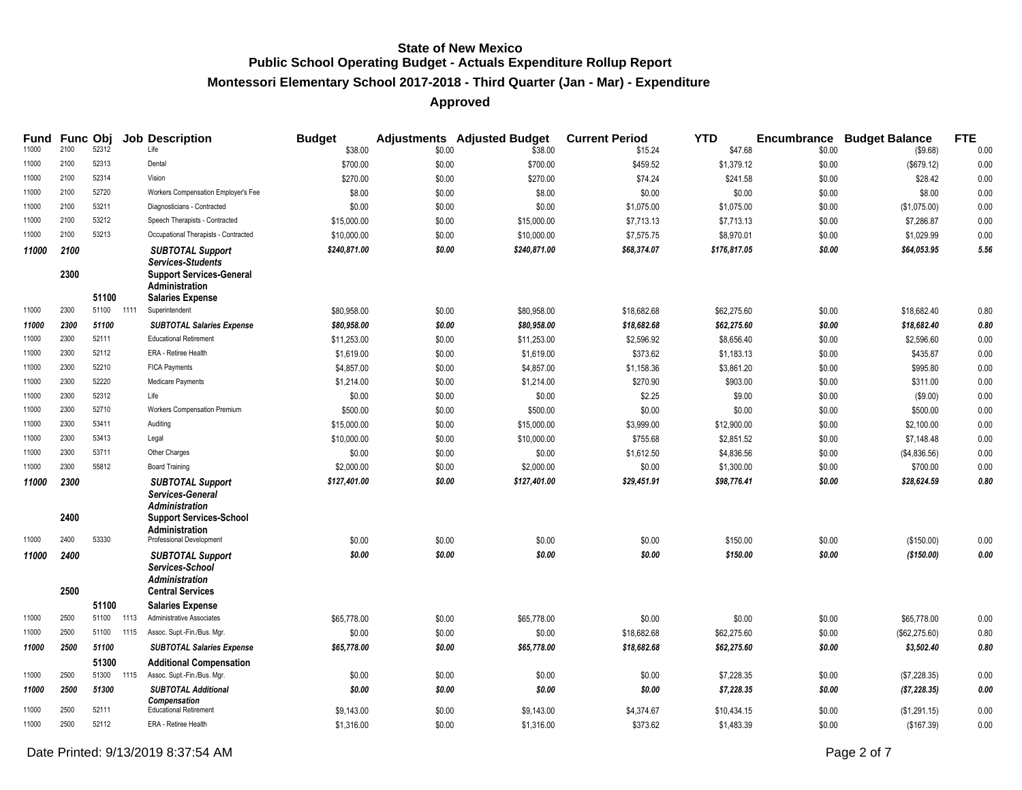## **Montessori Elementary School 2017-2018 - Third Quarter (Jan - Mar) - Expenditure**

| Fund<br>11000 | 2100         | <b>Func Obi</b><br>52312 |      | <b>Job Description</b><br>Life                                                                                            | <b>Budget</b><br>\$38.00 | \$0.00 | <b>Adjustments</b> Adjusted Budget<br>\$38.00 | <b>Current Period</b><br>\$15.24 | <b>YTD</b><br>\$47.68 | \$0.00 | <b>Encumbrance Budget Balance</b><br>(\$9.68) | <b>FTE</b><br>0.00 |
|---------------|--------------|--------------------------|------|---------------------------------------------------------------------------------------------------------------------------|--------------------------|--------|-----------------------------------------------|----------------------------------|-----------------------|--------|-----------------------------------------------|--------------------|
| 11000         | 2100         | 52313                    |      | Dental                                                                                                                    | \$700.00                 | \$0.00 | \$700.00                                      | \$459.52                         | \$1,379.12            | \$0.00 | (\$679.12)                                    | 0.00               |
| 11000         | 2100         | 52314                    |      | Vision                                                                                                                    | \$270.00                 | \$0.00 | \$270.00                                      | \$74.24                          | \$241.58              | \$0.00 | \$28.42                                       | 0.00               |
| 11000         | 2100         | 52720                    |      | Workers Compensation Employer's Fee                                                                                       | \$8.00                   | \$0.00 | \$8.00                                        | \$0.00                           | \$0.00                | \$0.00 | \$8.00                                        | 0.00               |
| 11000         | 2100         | 53211                    |      | Diagnosticians - Contracted                                                                                               | \$0.00                   | \$0.00 | \$0.00                                        | \$1,075.00                       | \$1,075.00            | \$0.00 | (\$1,075.00)                                  | 0.00               |
| 11000         | 2100         | 53212                    |      | Speech Therapists - Contracted                                                                                            | \$15,000.00              | \$0.00 | \$15,000.00                                   | \$7,713.13                       | \$7,713.13            | \$0.00 | \$7,286.87                                    | 0.00               |
| 11000         | 2100         | 53213                    |      | Occupational Therapists - Contracted                                                                                      | \$10,000.00              | \$0.00 | \$10,000.00                                   | \$7,575.75                       | \$8,970.01            | \$0.00 | \$1,029.99                                    | 0.00               |
| 11000         | 2100         |                          |      | <b>SUBTOTAL Support</b>                                                                                                   | \$240,871.00             | \$0.00 | \$240,871.00                                  | \$68,374.07                      | \$176,817.05          | \$0.00 | \$64,053.95                                   | 5.56               |
|               | 2300         | 51100                    |      | <b>Services-Students</b><br><b>Support Services-General</b><br><b>Administration</b><br><b>Salaries Expense</b>           |                          |        |                                               |                                  |                       |        |                                               |                    |
| 11000         | 2300         | 51100                    | 1111 | Superintendent                                                                                                            | \$80,958.00              | \$0.00 | \$80,958.00                                   | \$18,682.68                      | \$62,275.60           | \$0.00 | \$18,682.40                                   | 0.80               |
| 11000         | 2300         | 51100                    |      | <b>SUBTOTAL Salaries Expense</b>                                                                                          | \$80,958.00              | \$0.00 | \$80,958.00                                   | \$18,682.68                      | \$62,275.60           | \$0.00 | \$18,682.40                                   | 0.80               |
| 11000         | 2300         | 52111                    |      | <b>Educational Retirement</b>                                                                                             | \$11,253.00              | \$0.00 | \$11,253.00                                   | \$2,596.92                       | \$8,656.40            | \$0.00 | \$2,596.60                                    | 0.00               |
| 11000         | 2300         | 52112                    |      | ERA - Retiree Health                                                                                                      | \$1,619.00               | \$0.00 | \$1,619.00                                    | \$373.62                         | \$1,183.13            | \$0.00 | \$435.87                                      | 0.00               |
| 11000         | 2300         | 52210                    |      | <b>FICA Payments</b>                                                                                                      | \$4,857.00               | \$0.00 | \$4,857.00                                    | \$1,158.36                       | \$3,861.20            | \$0.00 | \$995.80                                      | 0.00               |
| 11000         | 2300         | 52220                    |      | Medicare Payments                                                                                                         | \$1,214.00               | \$0.00 | \$1,214.00                                    | \$270.90                         | \$903.00              | \$0.00 | \$311.00                                      | 0.00               |
| 11000         | 2300         | 52312                    |      | Life                                                                                                                      | \$0.00                   | \$0.00 | \$0.00                                        | \$2.25                           | \$9.00                | \$0.00 | (\$9.00)                                      | 0.00               |
| 11000         | 2300         | 52710                    |      | Workers Compensation Premium                                                                                              | \$500.00                 | \$0.00 | \$500.00                                      | \$0.00                           | \$0.00                | \$0.00 | \$500.00                                      | 0.00               |
| 11000         | 2300         | 53411                    |      | Auditing                                                                                                                  | \$15,000.00              | \$0.00 | \$15,000.00                                   | \$3,999.00                       | \$12,900.00           | \$0.00 | \$2,100.00                                    | 0.00               |
| 11000         | 2300         | 53413                    |      | Legal                                                                                                                     | \$10,000.00              | \$0.00 | \$10,000.00                                   | \$755.68                         | \$2,851.52            | \$0.00 | \$7,148.48                                    | 0.00               |
| 11000         | 2300         | 53711                    |      | Other Charges                                                                                                             | \$0.00                   | \$0.00 | \$0.00                                        | \$1,612.50                       | \$4,836.56            | \$0.00 | (\$4,836.56)                                  | 0.00               |
| 11000         | 2300         | 55812                    |      | <b>Board Training</b>                                                                                                     | \$2,000.00               | \$0.00 | \$2,000.00                                    | \$0.00                           | \$1,300.00            | \$0.00 | \$700.00                                      | 0.00               |
| 11000         | 2300         |                          |      | <b>SUBTOTAL Support</b>                                                                                                   | \$127,401.00             | \$0.00 | \$127,401.00                                  | \$29,451.91                      | \$98,776.41           | \$0.00 | \$28,624.59                                   | 0.80               |
| 11000         | 2400<br>2400 | 53330                    |      | Services-General<br>Administration<br><b>Support Services-School</b><br><b>Administration</b><br>Professional Development | \$0.00                   | \$0.00 | \$0.00                                        | \$0.00                           | \$150.00              | \$0.00 | (\$150.00)                                    | 0.00               |
| 11000         | 2400         |                          |      | <b>SUBTOTAL Support</b>                                                                                                   | \$0.00                   | \$0.00 | \$0.00                                        | \$0.00                           | \$150.00              | \$0.00 | (\$150.00)                                    | 0.00               |
|               | 2500         |                          |      | Services-School<br><b>Administration</b><br><b>Central Services</b>                                                       |                          |        |                                               |                                  |                       |        |                                               |                    |
|               |              | 51100                    |      | <b>Salaries Expense</b>                                                                                                   |                          |        |                                               |                                  |                       |        |                                               |                    |
| 11000         | 2500         | 51100                    | 1113 | Administrative Associates                                                                                                 | \$65,778.00              | \$0.00 | \$65,778.00                                   | \$0.00                           | \$0.00                | \$0.00 | \$65,778.00                                   | 0.00               |
| 11000         | 2500         | 51100                    | 1115 | Assoc. Supt.-Fin./Bus. Mgr.                                                                                               | \$0.00                   | \$0.00 | \$0.00                                        | \$18,682.68                      | \$62,275.60           | \$0.00 | (\$62,275.60)                                 | 0.80               |
| 11000         | 2500         | 51100                    |      | <b>SUBTOTAL Salaries Expense</b>                                                                                          | \$65,778.00              | \$0.00 | \$65,778.00                                   | \$18,682.68                      | \$62,275.60           | \$0.00 | \$3,502.40                                    | 0.80               |
|               |              | 51300                    |      | <b>Additional Compensation</b>                                                                                            |                          |        |                                               |                                  |                       |        |                                               |                    |
| 11000         | 2500         | 51300                    | 1115 | Assoc. Supt.-Fin./Bus. Mgr.                                                                                               | \$0.00                   | \$0.00 | \$0.00                                        | \$0.00                           | \$7,228.35            | \$0.00 | (\$7,228.35)                                  | 0.00               |
| 11000         | 2500         | 51300                    |      | <b>SUBTOTAL Additional</b><br>Compensation                                                                                | \$0.00                   | \$0.00 | \$0.00                                        | \$0.00                           | \$7,228.35            | \$0.00 | (\$7,228.35)                                  | 0.00               |
| 11000         | 2500         | 52111                    |      | <b>Educational Retirement</b>                                                                                             | \$9,143.00               | \$0.00 | \$9,143.00                                    | \$4,374.67                       | \$10,434.15           | \$0.00 | (\$1,291.15)                                  | 0.00               |
| 11000         | 2500         | 52112                    |      | ERA - Retiree Health                                                                                                      | \$1,316.00               | \$0.00 | \$1,316.00                                    | \$373.62                         | \$1,483.39            | \$0.00 | (\$167.39)                                    | 0.00               |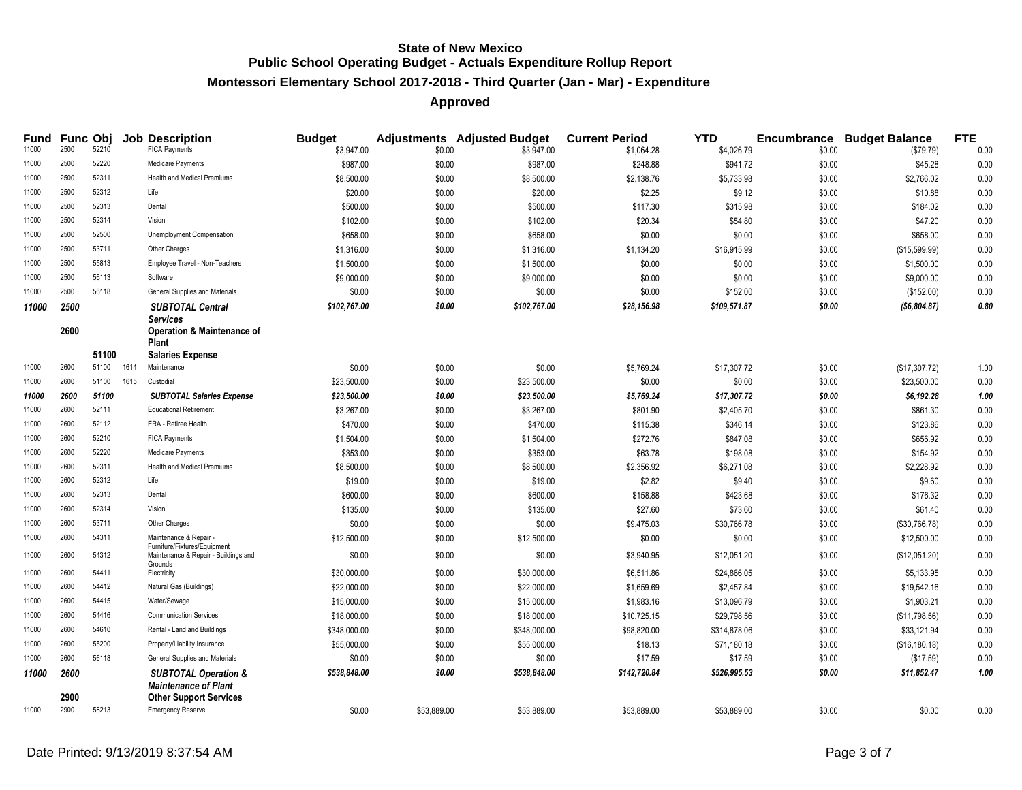# **Montessori Elementary School 2017-2018 - Third Quarter (Jan - Mar) - Expenditure**

| Fund  | <b>Func Obj</b> |       |      | <b>Job Description</b>                                                          | <b>Budget</b> |             | <b>Adjustments</b> Adjusted Budget | <b>Current Period</b> | <b>YTD</b>   |        | <b>Encumbrance Budget Balance</b> | <b>FTE</b> |
|-------|-----------------|-------|------|---------------------------------------------------------------------------------|---------------|-------------|------------------------------------|-----------------------|--------------|--------|-----------------------------------|------------|
| 11000 | 2500            | 52210 |      | <b>FICA Payments</b>                                                            | \$3,947.00    | \$0.00      | \$3,947.00                         | \$1,064.28            | \$4,026.79   | \$0.00 | (\$79.79)                         | 0.00       |
| 11000 | 2500            | 52220 |      | Medicare Payments                                                               | \$987.00      | \$0.00      | \$987.00                           | \$248.88              | \$941.72     | \$0.00 | \$45.28                           | 0.00       |
| 11000 | 2500            | 52311 |      | <b>Health and Medical Premiums</b>                                              | \$8,500.00    | \$0.00      | \$8,500.00                         | \$2,138.76            | \$5,733.98   | \$0.00 | \$2,766.02                        | 0.00       |
| 11000 | 2500            | 52312 |      | Life                                                                            | \$20.00       | \$0.00      | \$20.00                            | \$2.25                | \$9.12       | \$0.00 | \$10.88                           | 0.00       |
| 11000 | 2500            | 52313 |      | Dental                                                                          | \$500.00      | \$0.00      | \$500.00                           | \$117.30              | \$315.98     | \$0.00 | \$184.02                          | 0.00       |
| 11000 | 2500            | 52314 |      | Vision                                                                          | \$102.00      | \$0.00      | \$102.00                           | \$20.34               | \$54.80      | \$0.00 | \$47.20                           | 0.00       |
| 11000 | 2500            | 52500 |      | Unemployment Compensation                                                       | \$658.00      | \$0.00      | \$658.00                           | \$0.00                | \$0.00       | \$0.00 | \$658.00                          | 0.00       |
| 11000 | 2500            | 53711 |      | Other Charges                                                                   | \$1,316.00    | \$0.00      | \$1,316.00                         | \$1,134.20            | \$16,915.99  | \$0.00 | (\$15,599.99)                     | 0.00       |
| 11000 | 2500            | 55813 |      | Employee Travel - Non-Teachers                                                  | \$1,500.00    | \$0.00      | \$1,500.00                         | \$0.00                | \$0.00       | \$0.00 | \$1,500.00                        | 0.00       |
| 11000 | 2500            | 56113 |      | Software                                                                        | \$9,000.00    | \$0.00      | \$9,000.00                         | \$0.00                | \$0.00       | \$0.00 | \$9,000.00                        | 0.00       |
| 11000 | 2500            | 56118 |      | General Supplies and Materials                                                  | \$0.00        | \$0.00      | \$0.00                             | \$0.00                | \$152.00     | \$0.00 | (\$152.00)                        | 0.00       |
| 11000 | 2500            |       |      | <b>SUBTOTAL Central</b>                                                         | \$102,767.00  | \$0.00      | \$102,767.00                       | \$28,156.98           | \$109,571.87 | \$0.00 | ( \$6,804.87)                     | 0.80       |
|       | 2600            |       |      | <b>Services</b><br><b>Operation &amp; Maintenance of</b><br><b>Plant</b>        |               |             |                                    |                       |              |        |                                   |            |
|       |                 | 51100 |      | <b>Salaries Expense</b>                                                         |               |             |                                    |                       |              |        |                                   |            |
| 11000 | 2600            | 51100 | 1614 | Maintenance                                                                     | \$0.00        | \$0.00      | \$0.00                             | \$5,769.24            | \$17,307.72  | \$0.00 | (\$17,307.72)                     | 1.00       |
| 11000 | 2600            | 51100 | 1615 | Custodial                                                                       | \$23,500.00   | \$0.00      | \$23,500.00                        | \$0.00                | \$0.00       | \$0.00 | \$23,500.00                       | 0.00       |
| 11000 | 2600            | 51100 |      | <b>SUBTOTAL Salaries Expense</b>                                                | \$23,500.00   | \$0.00      | \$23,500.00                        | \$5,769.24            | \$17,307.72  | \$0.00 | \$6,192.28                        | 1.00       |
| 11000 | 2600            | 52111 |      | <b>Educational Retirement</b>                                                   | \$3,267.00    | \$0.00      | \$3,267.00                         | \$801.90              | \$2,405.70   | \$0.00 | \$861.30                          | 0.00       |
| 11000 | 2600            | 52112 |      | ERA - Retiree Health                                                            | \$470.00      | \$0.00      | \$470.00                           | \$115.38              | \$346.14     | \$0.00 | \$123.86                          | 0.00       |
| 11000 | 2600            | 52210 |      | <b>FICA Payments</b>                                                            | \$1,504.00    | \$0.00      | \$1,504.00                         | \$272.76              | \$847.08     | \$0.00 | \$656.92                          | 0.00       |
| 11000 | 2600            | 52220 |      | Medicare Payments                                                               | \$353.00      | \$0.00      | \$353.00                           | \$63.78               | \$198.08     | \$0.00 | \$154.92                          | 0.00       |
| 11000 | 2600            | 52311 |      | Health and Medical Premiums                                                     | \$8,500.00    | \$0.00      | \$8,500.00                         | \$2,356.92            | \$6,271.08   | \$0.00 | \$2,228.92                        | 0.00       |
| 11000 | 2600            | 52312 |      | Life                                                                            | \$19.00       | \$0.00      | \$19.00                            | \$2.82                | \$9.40       | \$0.00 | \$9.60                            | 0.00       |
| 11000 | 2600            | 52313 |      | Dental                                                                          | \$600.00      | \$0.00      | \$600.00                           | \$158.88              | \$423.68     | \$0.00 | \$176.32                          | 0.00       |
| 11000 | 2600            | 52314 |      | Vision                                                                          | \$135.00      | \$0.00      | \$135.00                           | \$27.60               | \$73.60      | \$0.00 | \$61.40                           | 0.00       |
| 11000 | 2600            | 53711 |      | Other Charges                                                                   | \$0.00        | \$0.00      | \$0.00                             | \$9,475.03            | \$30,766.78  | \$0.00 | (\$30,766.78)                     | 0.00       |
| 11000 | 2600            | 54311 |      | Maintenance & Repair -                                                          | \$12,500.00   | \$0.00      | \$12,500.00                        | \$0.00                | \$0.00       | \$0.00 | \$12,500.00                       | 0.00       |
| 11000 | 2600            | 54312 |      | Furniture/Fixtures/Equipment<br>Maintenance & Repair - Buildings and<br>Grounds | \$0.00        | \$0.00      | \$0.00                             | \$3,940.95            | \$12,051.20  | \$0.00 | (\$12,051.20)                     | 0.00       |
| 11000 | 2600            | 54411 |      | Electricity                                                                     | \$30,000.00   | \$0.00      | \$30,000.00                        | \$6,511.86            | \$24,866.05  | \$0.00 | \$5,133.95                        | 0.00       |
| 11000 | 2600            | 54412 |      | Natural Gas (Buildings)                                                         | \$22,000.00   | \$0.00      | \$22,000.00                        | \$1,659.69            | \$2,457.84   | \$0.00 | \$19,542.16                       | 0.00       |
| 11000 | 2600            | 54415 |      | Water/Sewage                                                                    | \$15,000.00   | \$0.00      | \$15,000.00                        | \$1,983.16            | \$13,096.79  | \$0.00 | \$1,903.21                        | 0.00       |
| 11000 | 2600            | 54416 |      | <b>Communication Services</b>                                                   | \$18,000.00   | \$0.00      | \$18,000.00                        | \$10,725.15           | \$29,798.56  | \$0.00 | (\$11,798.56)                     | 0.00       |
| 11000 | 2600            | 54610 |      | Rental - Land and Buildings                                                     | \$348,000.00  | \$0.00      | \$348,000.00                       | \$98,820.00           | \$314,878.06 | \$0.00 | \$33,121.94                       | 0.00       |
| 11000 | 2600            | 55200 |      | Property/Liability Insurance                                                    | \$55,000.00   | \$0.00      | \$55,000.00                        | \$18.13               | \$71,180.18  | \$0.00 | (\$16,180.18)                     | 0.00       |
| 11000 | 2600            | 56118 |      | General Supplies and Materials                                                  | \$0.00        | \$0.00      | \$0.00                             | \$17.59               | \$17.59      | \$0.00 | (\$17.59)                         | 0.00       |
| 11000 | 2600            |       |      | <b>SUBTOTAL Operation &amp;</b><br><b>Maintenance of Plant</b>                  | \$538,848.00  | \$0.00      | \$538,848.00                       | \$142,720.84          | \$526,995.53 | \$0.00 | \$11,852.47                       | 1.00       |
| 11000 | 2900<br>2900    | 58213 |      | <b>Other Support Services</b><br>Emergency Reserve                              | \$0.00        | \$53,889.00 | \$53,889.00                        | \$53,889.00           | \$53,889.00  | \$0.00 | \$0.00                            | 0.00       |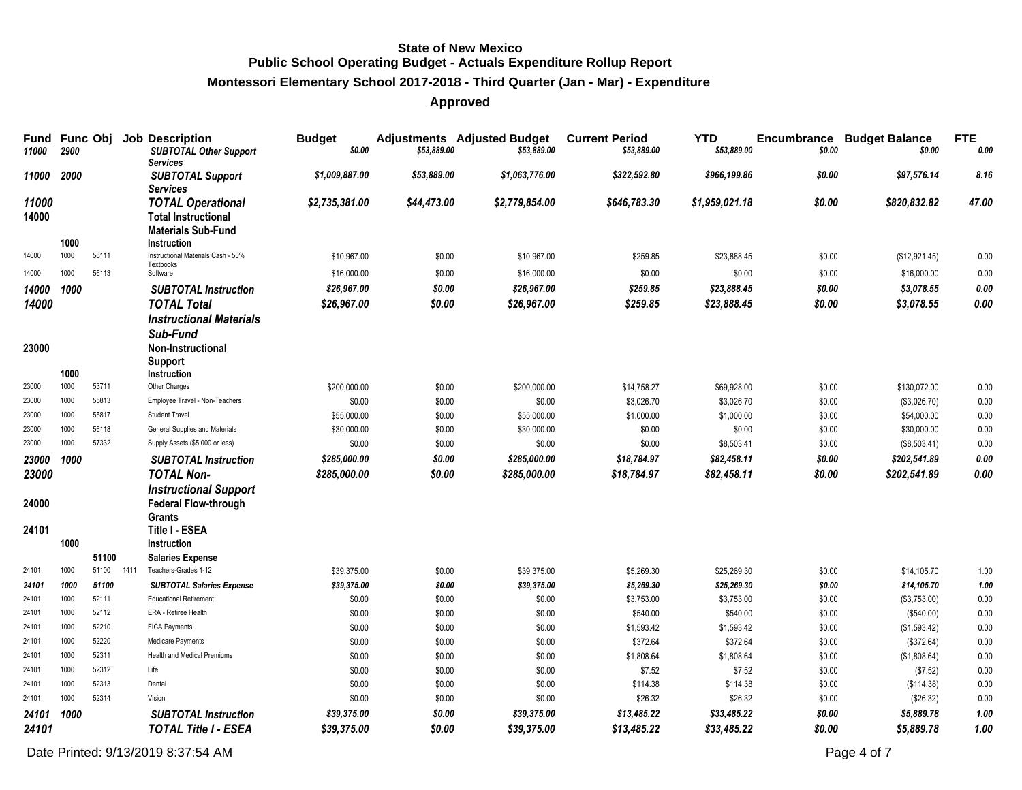# **Montessori Elementary School 2017-2018 - Third Quarter (Jan - Mar) - Expenditure**

## **Approved**

| Fund<br>11000  | Func Obj<br>2900 |                | <b>Job Description</b><br><b>SUBTOTAL Other Support</b><br><b>Services</b>                         | <b>Budget</b><br>\$0.00    | \$53,889.00      | <b>Adjustments</b> Adjusted Budget<br>\$53,889.00 | <b>Current Period</b><br>\$53,889.00 | <b>YTD</b><br>\$53,889.00  | Encumbrance<br>\$0.00 | <b>Budget Balance</b><br>\$0.00 | <b>FTE</b><br>0.00 |
|----------------|------------------|----------------|----------------------------------------------------------------------------------------------------|----------------------------|------------------|---------------------------------------------------|--------------------------------------|----------------------------|-----------------------|---------------------------------|--------------------|
| 11000          | 2000             |                | <b>SUBTOTAL Support</b><br><b>Services</b>                                                         | \$1,009,887.00             | \$53,889.00      | \$1,063,776.00                                    | \$322,592.80                         | \$966,199.86               | \$0.00                | \$97,576.14                     | 8.16               |
| 11000<br>14000 | 1000             |                | <b>TOTAL Operational</b><br><b>Total Instructional</b><br><b>Materials Sub-Fund</b><br>Instruction | \$2,735,381.00             | \$44,473.00      | \$2,779,854.00                                    | \$646,783.30                         | \$1,959,021.18             | \$0.00                | \$820,832.82                    | 47.00              |
| 14000          | 1000             | 56111          | Instructional Materials Cash - 50%                                                                 | \$10,967.00                | \$0.00           | \$10,967.00                                       | \$259.85                             | \$23,888.45                | \$0.00                | (\$12,921.45)                   | 0.00               |
| 14000          | 1000             | 56113          | Textbooks<br>Software                                                                              | \$16,000.00                | \$0.00           | \$16,000.00                                       | \$0.00                               | \$0.00                     | \$0.00                | \$16,000.00                     | 0.00               |
| 14000 1000     |                  |                | <b>SUBTOTAL Instruction</b>                                                                        | \$26,967.00                | \$0.00           | \$26,967.00                                       | \$259.85                             | \$23,888.45                | \$0.00                | \$3,078.55                      | $0.00\,$           |
| 14000          |                  |                | <b>TOTAL Total</b>                                                                                 | \$26,967.00                | \$0.00           | \$26,967.00                                       | \$259.85                             | \$23,888.45                | \$0.00                | \$3,078.55                      | 0.00               |
| 23000          | 1000             |                | <b>Instructional Materials</b><br>Sub-Fund<br>Non-Instructional<br>Support<br><b>Instruction</b>   |                            |                  |                                                   |                                      |                            |                       |                                 |                    |
| 23000          | 1000             | 53711          | Other Charges                                                                                      | \$200,000.00               | \$0.00           | \$200,000.00                                      | \$14,758.27                          | \$69,928.00                | \$0.00                | \$130,072.00                    | 0.00               |
| 23000          | 1000             | 55813          | Employee Travel - Non-Teachers                                                                     | \$0.00                     | \$0.00           | \$0.00                                            | \$3,026.70                           | \$3,026.70                 | \$0.00                | (\$3,026.70)                    | 0.00               |
| 23000          | 1000             | 55817          | Student Travel                                                                                     | \$55,000.00                | \$0.00           | \$55,000.00                                       | \$1,000.00                           | \$1,000.00                 | \$0.00                | \$54,000.00                     | 0.00               |
| 23000          | 1000             | 56118          | General Supplies and Materials                                                                     | \$30,000.00                | \$0.00           | \$30,000.00                                       | \$0.00                               | \$0.00                     | \$0.00                | \$30,000.00                     | 0.00               |
| 23000          | 1000             | 57332          | Supply Assets (\$5,000 or less)                                                                    | \$0.00                     | \$0.00           | \$0.00                                            | \$0.00                               | \$8,503.41                 | \$0.00                | (\$8,503.41)                    | 0.00               |
| 23000          | 1000             |                | <b>SUBTOTAL Instruction</b>                                                                        | \$285,000.00               | \$0.00           | \$285,000.00                                      | \$18,784.97                          | \$82,458.11                | \$0.00                | \$202,541.89                    | 0.00               |
| 23000          |                  |                | <b>TOTAL Non-</b>                                                                                  | \$285,000.00               | \$0.00           | \$285,000.00                                      | \$18,784.97                          | \$82,458.11                | \$0.00                | \$202,541.89                    | 0.00               |
| 24000          |                  |                | <b>Instructional Support</b><br><b>Federal Flow-through</b><br>Grants                              |                            |                  |                                                   |                                      |                            |                       |                                 |                    |
| 24101          |                  |                | Title I - ESEA                                                                                     |                            |                  |                                                   |                                      |                            |                       |                                 |                    |
|                | 1000             |                | Instruction                                                                                        |                            |                  |                                                   |                                      |                            |                       |                                 |                    |
| 24101          | 1000             | 51100<br>51100 | <b>Salaries Expense</b><br>1411<br>Teachers-Grades 1-12                                            | \$39,375.00                | \$0.00           | \$39,375.00                                       | \$5,269.30                           | \$25,269.30                | \$0.00                | \$14,105.70                     | 1.00               |
| 24101          | 1000             | 51100          | <b>SUBTOTAL Salaries Expense</b>                                                                   | \$39,375.00                | \$0.00           | \$39,375.00                                       | \$5,269.30                           | \$25,269.30                | \$0.00                | \$14,105.70                     | 1.00               |
| 24101          | 1000             | 52111          | <b>Educational Retirement</b>                                                                      | \$0.00                     | \$0.00           | \$0.00                                            | \$3,753.00                           | \$3,753.00                 | \$0.00                | (\$3,753.00)                    | 0.00               |
| 24101          | 1000             | 52112          | ERA - Retiree Health                                                                               | \$0.00                     | \$0.00           | \$0.00                                            | \$540.00                             | \$540.00                   | \$0.00                | (\$540.00)                      | 0.00               |
| 24101          | 1000             | 52210          | <b>FICA Payments</b>                                                                               | \$0.00                     | \$0.00           | \$0.00                                            | \$1,593.42                           | \$1,593.42                 | \$0.00                | (\$1,593.42)                    | 0.00               |
| 24101          | 1000             | 52220          | <b>Medicare Payments</b>                                                                           | \$0.00                     | \$0.00           | \$0.00                                            | \$372.64                             | \$372.64                   | \$0.00                | (\$372.64)                      | 0.00               |
| 24101          | 1000             | 52311          | Health and Medical Premiums                                                                        | \$0.00                     | \$0.00           | \$0.00                                            | \$1,808.64                           | \$1,808.64                 | \$0.00                | (\$1,808.64)                    | 0.00               |
| 24101          | 1000             | 52312          | Life                                                                                               | \$0.00                     | \$0.00           | \$0.00                                            | \$7.52                               | \$7.52                     | \$0.00                | (\$7.52)                        | 0.00               |
| 24101          | 1000             | 52313          | Dental                                                                                             | \$0.00                     | \$0.00           | \$0.00                                            | \$114.38                             | \$114.38                   | \$0.00                | (\$114.38)                      | 0.00               |
| 24101          | 1000             | 52314          | Vision                                                                                             | \$0.00                     | \$0.00           | \$0.00                                            | \$26.32                              | \$26.32                    | \$0.00                | (\$26.32)                       | 0.00               |
| 24101<br>24101 | 1000             |                | <b>SUBTOTAL Instruction</b><br><b>TOTAL Title I - ESEA</b>                                         | \$39,375.00<br>\$39,375.00 | \$0.00<br>\$0.00 | \$39,375.00<br>\$39,375.00                        | \$13,485.22<br>\$13,485.22           | \$33,485.22<br>\$33.485.22 | \$0.00<br>\$0.00      | \$5,889.78<br>\$5,889.78        | 1.00<br>1.00       |

Date Printed:  $9/13/20198.37:54$  AM Page 4 of 7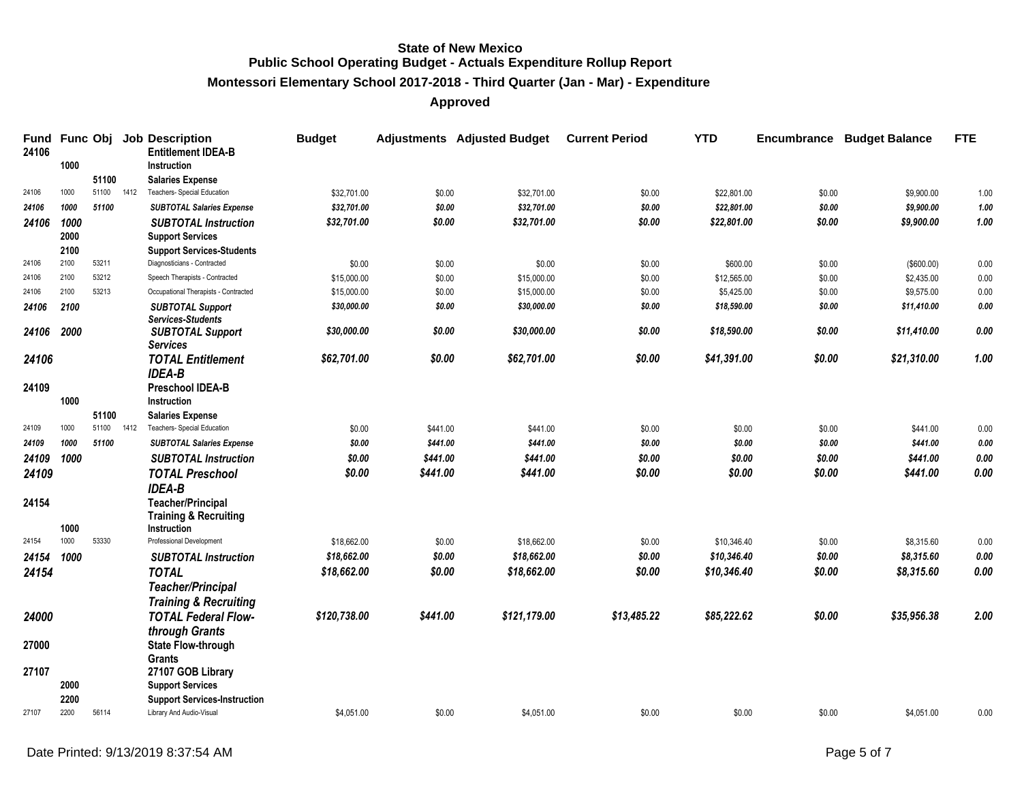**Montessori Elementary School 2017-2018 - Third Quarter (Jan - Mar) - Expenditure**

| <b>Fund</b><br>24106 |              | Func Obj |      | <b>Job Description</b><br><b>Entitlement IDEA-B</b> | <b>Budget</b> |          | <b>Adjustments</b> Adjusted Budget | <b>Current Period</b> | <b>YTD</b>  | Encumbrance | <b>Budget Balance</b> | <b>FTE</b>  |
|----------------------|--------------|----------|------|-----------------------------------------------------|---------------|----------|------------------------------------|-----------------------|-------------|-------------|-----------------------|-------------|
|                      | 1000         |          |      | <b>Instruction</b>                                  |               |          |                                    |                       |             |             |                       |             |
|                      |              | 51100    |      | <b>Salaries Expense</b>                             |               |          |                                    |                       |             |             |                       |             |
| 24106                | 1000         | 51100    | 1412 | Teachers- Special Education                         | \$32,701.00   | \$0.00   | \$32,701.00                        | \$0.00                | \$22,801.00 | \$0.00      | \$9,900.00            | 1.00        |
| 24106                | 1000         | 51100    |      | <b>SUBTOTAL Salaries Expense</b>                    | \$32,701.00   | \$0.00   | \$32,701.00                        | \$0.00                | \$22,801.00 | \$0.00      | \$9,900.00            | 1.00        |
| 24106                | 1000         |          |      | <b>SUBTOTAL Instruction</b>                         | \$32,701.00   | \$0.00   | \$32,701.00                        | \$0.00                | \$22,801.00 | \$0.00      | \$9,900.00            | $1.00$      |
|                      | 2000         |          |      | <b>Support Services</b>                             |               |          |                                    |                       |             |             |                       |             |
|                      | 2100         |          |      | <b>Support Services-Students</b>                    |               |          |                                    |                       |             |             |                       |             |
| 24106                | 2100         | 53211    |      | Diagnosticians - Contracted                         | \$0.00        | \$0.00   | \$0.00                             | \$0.00                | \$600.00    | \$0.00      | (\$600.00)            | 0.00        |
| 24106                | 2100         | 53212    |      | Speech Therapists - Contracted                      | \$15,000.00   | \$0.00   | \$15,000.00                        | \$0.00                | \$12,565.00 | \$0.00      | \$2,435.00            | 0.00        |
| 24106                | 2100         | 53213    |      | Occupational Therapists - Contracted                | \$15,000.00   | \$0.00   | \$15,000.00                        | \$0.00                | \$5,425.00  | \$0.00      | \$9,575.00            | 0.00        |
| 24106                | 2100         |          |      | <b>SUBTOTAL Support</b><br><b>Services-Students</b> | \$30,000.00   | \$0.00   | \$30,000.00                        | \$0.00                | \$18,590.00 | \$0.00      | \$11,410.00           | 0.00        |
| 24106                | 2000         |          |      | <b>SUBTOTAL Support</b><br><b>Services</b>          | \$30,000.00   | \$0.00   | \$30,000.00                        | \$0.00                | \$18,590.00 | \$0.00      | \$11,410.00           | 0.00        |
| 24106                |              |          |      | <b>TOTAL Entitlement</b>                            | \$62,701.00   | \$0.00   | \$62,701.00                        | \$0.00                | \$41,391.00 | \$0.00      | \$21,310.00           | 1.00        |
|                      |              |          |      | <b>IDEA-B</b>                                       |               |          |                                    |                       |             |             |                       |             |
| 24109                |              |          |      | <b>Preschool IDEA-B</b>                             |               |          |                                    |                       |             |             |                       |             |
|                      | 1000         |          |      | <b>Instruction</b>                                  |               |          |                                    |                       |             |             |                       |             |
|                      |              | 51100    |      | <b>Salaries Expense</b>                             |               |          |                                    |                       |             |             |                       |             |
| 24109                | 1000         | 51100    | 1412 | Teachers- Special Education                         | \$0.00        | \$441.00 | \$441.00                           | \$0.00                | \$0.00      | \$0.00      | \$441.00              | 0.00        |
| 24109                | 1000         | 51100    |      | <b>SUBTOTAL Salaries Expense</b>                    | \$0.00        | \$441.00 | \$441.00                           | \$0.00                | \$0.00      | \$0.00      | \$441.00              | 0.00        |
| 24109                | 1000         |          |      | <b>SUBTOTAL Instruction</b>                         | \$0.00        | \$441.00 | \$441.00                           | \$0.00                | \$0.00      | \$0.00      | \$441.00              | $\it{0.00}$ |
| 24109                |              |          |      | <b>TOTAL Preschool</b>                              | \$0.00        | \$441.00 | \$441.00                           | \$0.00                | \$0.00      | \$0.00      | \$441.00              | 0.00        |
|                      |              |          |      | <b>IDEA-B</b>                                       |               |          |                                    |                       |             |             |                       |             |
| 24154                |              |          |      | <b>Teacher/Principal</b>                            |               |          |                                    |                       |             |             |                       |             |
|                      |              |          |      | <b>Training &amp; Recruiting</b>                    |               |          |                                    |                       |             |             |                       |             |
| 24154                | 1000<br>1000 | 53330    |      | <b>Instruction</b><br>Professional Development      |               |          |                                    |                       |             |             |                       |             |
|                      |              |          |      |                                                     | \$18,662.00   | \$0.00   | \$18,662.00                        | \$0.00                | \$10,346.40 | \$0.00      | \$8,315.60            | 0.00        |
| 24154                | 1000         |          |      | <b>SUBTOTAL Instruction</b>                         | \$18,662.00   | \$0.00   | \$18,662.00                        | \$0.00                | \$10,346.40 | \$0.00      | \$8,315.60            | 0.00        |
| 24154                |              |          |      | <b>TOTAL</b>                                        | \$18,662.00   | \$0.00   | \$18,662.00                        | \$0.00                | \$10,346.40 | \$0.00      | \$8,315.60            | 0.00        |
|                      |              |          |      | <b>Teacher/Principal</b>                            |               |          |                                    |                       |             |             |                       |             |
|                      |              |          |      | <b>Training &amp; Recruiting</b>                    |               |          |                                    |                       |             |             |                       |             |
| 24000                |              |          |      | <b>TOTAL Federal Flow-</b>                          | \$120,738.00  | \$441.00 | \$121,179.00                       | \$13,485.22           | \$85,222.62 | \$0.00      | \$35,956.38           | 2.00        |
|                      |              |          |      | through Grants                                      |               |          |                                    |                       |             |             |                       |             |
| 27000                |              |          |      | <b>State Flow-through</b>                           |               |          |                                    |                       |             |             |                       |             |
|                      |              |          |      | Grants                                              |               |          |                                    |                       |             |             |                       |             |
| 27107                |              |          |      | 27107 GOB Library                                   |               |          |                                    |                       |             |             |                       |             |
|                      | 2000         |          |      | <b>Support Services</b>                             |               |          |                                    |                       |             |             |                       |             |
|                      | 2200         |          |      | <b>Support Services-Instruction</b>                 |               |          |                                    |                       |             |             |                       |             |
| 27107                | 2200         | 56114    |      | Library And Audio-Visual                            | \$4.051.00    | \$0.00   | \$4,051.00                         | \$0.00                | \$0.00      | \$0.00      | \$4,051.00            | 0.00        |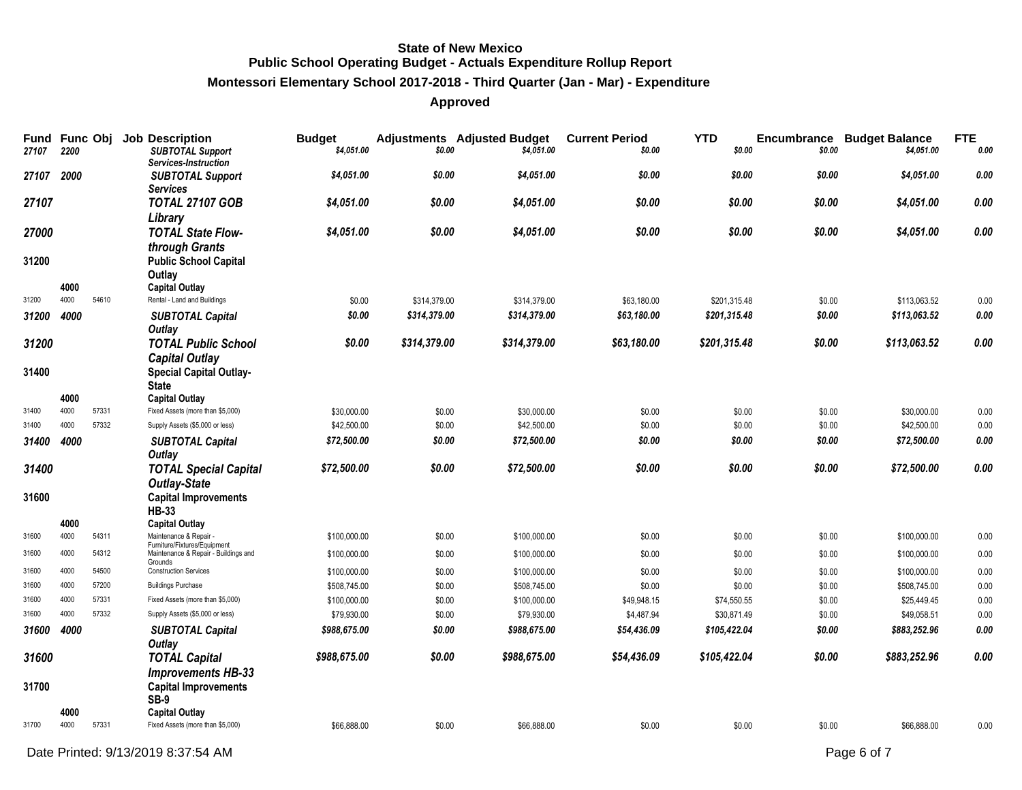# **Montessori Elementary School 2017-2018 - Third Quarter (Jan - Mar) - Expenditure**

| 27107      | 2200         |       | Fund Func Obj Job Description<br><b>SUBTOTAL Support</b><br>Services-Instruction | <b>Budget</b><br>\$4,051.00 | \$0.00       | <b>Adjustments</b> Adjusted Budget<br>\$4,051.00 | <b>Current Period</b><br>\$0.00 | <b>YTD</b><br>\$0.00 | Encumbrance<br>\$0.00 | <b>Budget Balance</b><br>\$4,051.00 | <b>FTE</b><br>0.00 |
|------------|--------------|-------|----------------------------------------------------------------------------------|-----------------------------|--------------|--------------------------------------------------|---------------------------------|----------------------|-----------------------|-------------------------------------|--------------------|
| 27107      | 2000         |       | <b>SUBTOTAL Support</b><br><b>Services</b>                                       | \$4,051.00                  | \$0.00       | \$4,051.00                                       | \$0.00                          | \$0.00               | \$0.00                | \$4,051.00                          | 0.00               |
| 27107      |              |       | <b>TOTAL 27107 GOB</b><br>Library                                                | \$4,051.00                  | \$0.00       | \$4,051.00                                       | \$0.00                          | \$0.00               | \$0.00                | \$4,051.00                          | 0.00               |
| 27000      |              |       | <b>TOTAL State Flow-</b><br>through Grants                                       | \$4,051.00                  | \$0.00       | \$4,051.00                                       | \$0.00                          | \$0.00               | \$0.00                | \$4,051.00                          | 0.00               |
| 31200      |              |       | <b>Public School Capital</b><br>Outlay                                           |                             |              |                                                  |                                 |                      |                       |                                     |                    |
| 31200      | 4000<br>4000 | 54610 | <b>Capital Outlay</b><br>Rental - Land and Buildings                             | \$0.00                      | \$314,379.00 | \$314,379.00                                     | \$63,180.00                     | \$201,315.48         | \$0.00                | \$113,063.52                        | 0.00               |
| 31200 4000 |              |       | <b>SUBTOTAL Capital</b><br>Outlay                                                | \$0.00                      | \$314,379.00 | \$314,379.00                                     | \$63,180.00                     | \$201,315.48         | \$0.00                | \$113,063.52                        | 0.00               |
| 31200      |              |       | <b>TOTAL Public School</b><br><b>Capital Outlay</b>                              | \$0.00                      | \$314,379.00 | \$314,379.00                                     | \$63,180.00                     | \$201,315.48         | \$0.00                | \$113,063.52                        | 0.00               |
| 31400      |              |       | <b>Special Capital Outlay-</b><br><b>State</b>                                   |                             |              |                                                  |                                 |                      |                       |                                     |                    |
|            | 4000         |       | <b>Capital Outlay</b>                                                            |                             |              |                                                  |                                 |                      |                       |                                     |                    |
| 31400      | 4000         | 57331 | Fixed Assets (more than \$5,000)                                                 | \$30,000.00                 | \$0.00       | \$30,000.00                                      | \$0.00                          | \$0.00               | \$0.00                | \$30,000.00                         | 0.00               |
| 31400      | 4000         | 57332 | Supply Assets (\$5,000 or less)                                                  | \$42,500.00                 | \$0.00       | \$42,500.00                                      | \$0.00                          | \$0.00               | \$0.00                | \$42,500.00                         | 0.00               |
| 31400      | 4000         |       | <b>SUBTOTAL Capital</b><br>Outlay                                                | \$72,500.00                 | \$0.00       | \$72,500.00                                      | \$0.00                          | \$0.00               | \$0.00                | \$72,500.00                         | 0.00               |
| 31400      |              |       | <b>TOTAL Special Capital</b><br><b>Outlay-State</b>                              | \$72,500.00                 | \$0.00       | \$72,500.00                                      | \$0.00                          | \$0.00               | \$0.00                | \$72,500.00                         | 0.00               |
| 31600      |              |       | <b>Capital Improvements</b><br><b>HB-33</b>                                      |                             |              |                                                  |                                 |                      |                       |                                     |                    |
|            | 4000         |       | <b>Capital Outlay</b>                                                            |                             |              |                                                  |                                 |                      |                       |                                     |                    |
| 31600      | 4000         | 54311 | Maintenance & Repair -<br>Furniture/Fixtures/Equipment                           | \$100,000.00                | \$0.00       | \$100,000.00                                     | \$0.00                          | \$0.00               | \$0.00                | \$100,000.00                        | 0.00               |
| 31600      | 4000         | 54312 | Maintenance & Repair - Buildings and<br>Grounds                                  | \$100,000.00                | \$0.00       | \$100,000.00                                     | \$0.00                          | \$0.00               | \$0.00                | \$100,000.00                        | 0.00               |
| 31600      | 4000         | 54500 | <b>Construction Services</b>                                                     | \$100,000.00                | \$0.00       | \$100,000.00                                     | \$0.00                          | \$0.00               | \$0.00                | \$100,000.00                        | 0.00               |
| 31600      | 4000         | 57200 | <b>Buildings Purchase</b>                                                        | \$508,745.00                | \$0.00       | \$508,745.00                                     | \$0.00                          | \$0.00               | \$0.00                | \$508,745.00                        | 0.00               |
| 31600      | 4000         | 57331 | Fixed Assets (more than \$5,000)                                                 | \$100,000.00                | \$0.00       | \$100,000.00                                     | \$49,948.15                     | \$74,550.55          | \$0.00                | \$25,449.45                         | 0.00               |
| 31600      | 4000         | 57332 | Supply Assets (\$5,000 or less)                                                  | \$79,930.00                 | \$0.00       | \$79,930.00                                      | \$4,487.94                      | \$30,871.49          | \$0.00                | \$49,058.51                         | 0.00               |
| 31600      | 4000         |       | <b>SUBTOTAL Capital</b><br>Outlay                                                | \$988.675.00                | \$0.00       | \$988,675.00                                     | \$54,436.09                     | \$105,422.04         | \$0.00                | \$883,252.96                        | 0.00               |
| 31600      |              |       | <b>TOTAL Capital</b><br><b>Improvements HB-33</b>                                | \$988,675.00                | \$0.00       | \$988,675.00                                     | \$54,436.09                     | \$105,422.04         | \$0.00                | \$883,252.96                        | 0.00               |
| 31700      |              |       | <b>Capital Improvements</b><br>SB-9                                              |                             |              |                                                  |                                 |                      |                       |                                     |                    |
|            | 4000         |       | <b>Capital Outlay</b>                                                            |                             |              |                                                  |                                 |                      |                       |                                     |                    |
| 31700      | 4000         | 57331 | Fixed Assets (more than \$5,000)                                                 | \$66,888.00                 | \$0.00       | \$66,888.00                                      | \$0.00                          | \$0.00               | \$0.00                | \$66,888.00                         | 0.00               |